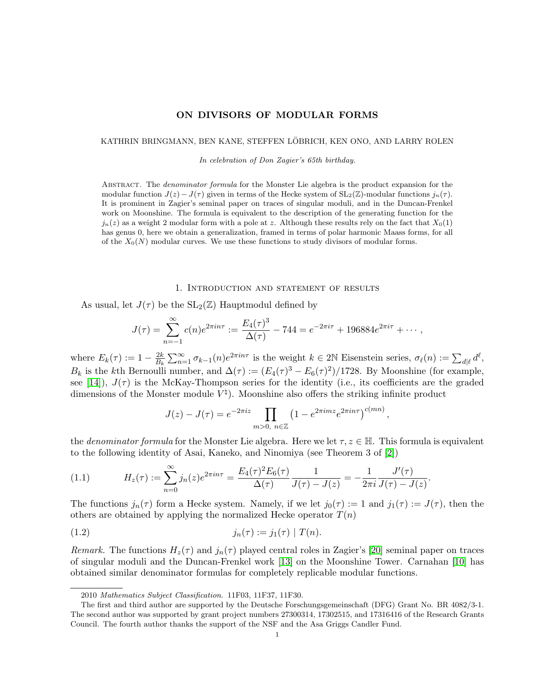# ON DIVISORS OF MODULAR FORMS

#### KATHRIN BRINGMANN, BEN KANE, STEFFEN LÖBRICH, KEN ONO, AND LARRY ROLEN

In celebration of Don Zagier's 65th birthday.

ABSTRACT. The *denominator formula* for the Monster Lie algebra is the product expansion for the modular function  $J(z) - J(\tau)$  given in terms of the Hecke system of  $SL_2(\mathbb{Z})$ -modular functions  $j_n(\tau)$ . It is prominent in Zagier's seminal paper on traces of singular moduli, and in the Duncan-Frenkel work on Moonshine. The formula is equivalent to the description of the generating function for the  $j_n(z)$  as a weight 2 modular form with a pole at z. Although these results rely on the fact that  $X_0(1)$ has genus 0, here we obtain a generalization, framed in terms of polar harmonic Maass forms, for all of the  $X_0(N)$  modular curves. We use these functions to study divisors of modular forms.

### 1. Introduction and statement of results

As usual, let  $J(\tau)$  be the  $SL_2(\mathbb{Z})$  Hauptmodul defined by

$$
J(\tau) = \sum_{n=-1}^{\infty} c(n)e^{2\pi in\tau} := \frac{E_4(\tau)^3}{\Delta(\tau)} - 744 = e^{-2\pi i\tau} + 196884e^{2\pi i\tau} + \cdots,
$$

where  $E_k(\tau) := 1 - \frac{2k}{B_k}$  $\frac{2k}{B_k} \sum_{n=1}^{\infty} \sigma_{k-1}(n) e^{2\pi i n \tau}$  is the weight  $k \in 2\mathbb{N}$  Eisenstein series,  $\sigma_{\ell}(n) := \sum_{d|\ell} d^{\ell}$ ,  $B_k$  is the kth Bernoulli number, and  $\Delta(\tau) := (E_4(\tau)^3 - E_6(\tau)^2)/1728$ . By Moonshine (for example, see [\[14\]](#page-9-0)),  $J(\tau)$  is the McKay-Thompson series for the identity (i.e., its coefficients are the graded dimensions of the Monster module  $V^{\natural}$ ). Moonshine also offers the striking infinite product

$$
J(z) - J(\tau) = e^{-2\pi i z} \prod_{m>0, n \in \mathbb{Z}} \left(1 - e^{2\pi i m z} e^{2\pi i n \tau}\right)^{c(mn)},
$$

the *denominator formula* for the Monster Lie algebra. Here we let  $\tau, z \in \mathbb{H}$ . This formula is equivalent to the following identity of Asai, Kaneko, and Ninomiya (see Theorem 3 of [\[2\]](#page-9-1))

(1.1) 
$$
H_z(\tau) := \sum_{n=0}^{\infty} j_n(z) e^{2\pi i n \tau} = \frac{E_4(\tau)^2 E_6(\tau)}{\Delta(\tau)} \frac{1}{J(\tau) - J(z)} = -\frac{1}{2\pi i} \frac{J'(\tau)}{J(\tau) - J(z)}.
$$

The functions  $j_n(\tau)$  form a Hecke system. Namely, if we let  $j_0(\tau) := 1$  and  $j_1(\tau) := J(\tau)$ , then the others are obtained by applying the normalized Hecke operator  $T(n)$ 

(1.2) 
$$
j_n(\tau) := j_1(\tau) | T(n).
$$

Remark. The functions  $H_z(\tau)$  and  $j_n(\tau)$  played central roles in Zagier's [\[20\]](#page-9-2) seminal paper on traces of singular moduli and the Duncan-Frenkel work [\[13\]](#page-9-3) on the Moonshine Tower. Carnahan [\[10\]](#page-9-4) has obtained similar denominator formulas for completely replicable modular functions.

<sup>2010</sup> Mathematics Subject Classification. 11F03, 11F37, 11F30.

The first and third author are supported by the Deutsche Forschungsgemeinschaft (DFG) Grant No. BR 4082/3-1. The second author was supported by grant project numbers 27300314, 17302515, and 17316416 of the Research Grants Council. The fourth author thanks the support of the NSF and the Asa Griggs Candler Fund.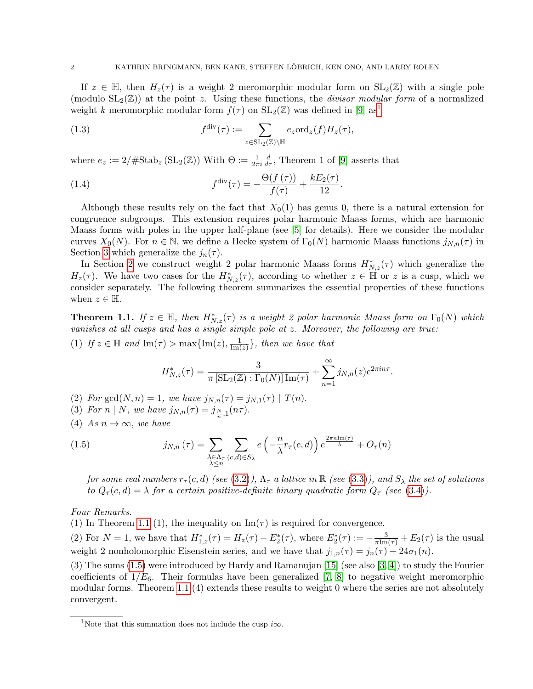If  $z \in \mathbb{H}$ , then  $H_z(\tau)$  is a weight 2 meromorphic modular form on  $SL_2(\mathbb{Z})$  with a single pole (modulo  $SL_2(\mathbb{Z})$ ) at the point z. Using these functions, the *divisor modular form* of a normalized weight k meromorphic modular form  $f(\tau)$  on  $SL_2(\mathbb{Z})$  was defined in [\[9\]](#page-9-5) as<sup>[1](#page-1-0)</sup>

<span id="page-1-4"></span>(1.3) 
$$
f^{\text{div}}(\tau) := \sum_{z \in \text{SL}_2(\mathbb{Z}) \backslash \mathbb{H}} e_z \text{ord}_z(f) H_z(\tau),
$$

where  $e_z := 2/\# \text{Stab}_z (\text{SL}_2(\mathbb{Z}))$  With  $\Theta := \frac{1}{2\pi i}$  $\frac{d}{d\tau}$ , Theorem 1 of [\[9\]](#page-9-5) asserts that

<span id="page-1-3"></span>(1.4) 
$$
f^{\text{div}}(\tau) = -\frac{\Theta(f(\tau))}{f(\tau)} + \frac{kE_2(\tau)}{12}.
$$

Although these results rely on the fact that  $X_0(1)$  has genus 0, there is a natural extension for congruence subgroups. This extension requires polar harmonic Maass forms, which are harmonic Maass forms with poles in the upper half-plane (see [\[5\]](#page-9-6) for details). Here we consider the modular curves  $X_0(N)$ . For  $n \in \mathbb{N}$ , we define a Hecke system of  $\Gamma_0(N)$  harmonic Maass functions  $j_{N,n}(\tau)$  in Section [3](#page-5-0) which generalize the  $j_n(\tau)$ .

In Section [2](#page-4-0) we construct weight 2 polar harmonic Maass forms  $H^*_{N,z}(\tau)$  which generalize the  $H_z(\tau)$ . We have two cases for the  $H^*_{N,z}(\tau)$ , according to whether  $z \in \mathbb{H}$  or z is a cusp, which we consider separately. The following theorem summarizes the essential properties of these functions when  $z \in \mathbb{H}$ .

<span id="page-1-1"></span>**Theorem 1.1.** If  $z \in \mathbb{H}$ , then  $H^*_{N,z}(\tau)$  is a weight 2 polar harmonic Maass form on  $\Gamma_0(N)$  which vanishes at all cusps and has a single simple pole at z. Moreover, the following are true:

(1) If  $z \in \mathbb{H}$  and  $\text{Im}(\tau) > \max\{\text{Im}(z), \frac{1}{\text{Im}(z)}\}$  $\frac{1}{\text{Im}(z)}\},\$  then we have that

<span id="page-1-2"></span>
$$
H_{N,z}^*(\tau) = \frac{3}{\pi \left[ SL_2(\mathbb{Z}) : \Gamma_0(N) \right] \operatorname{Im}(\tau)} + \sum_{n=1}^{\infty} j_{N,n}(z) e^{2\pi i n \tau}.
$$

(2) For gcd(N, n) = 1, we have  $j_{N,n}(\tau) = j_{N,1}(\tau) | T(n)$ .

- (3) For  $n \mid N$ , we have  $j_{N,n}(\tau) = j_{\frac{N}{n},1}(n\tau)$ .
- (4) As  $n \to \infty$ , we have

(1.5) 
$$
j_{N,n}(\tau) = \sum_{\substack{\lambda \in \Lambda_{\tau} \\ \lambda \leq n}} \sum_{(c,d) \in S_{\lambda}} e\left(-\frac{n}{\lambda}r_{\tau}(c,d)\right) e^{\frac{2\pi n \text{Im}(\tau)}{\lambda}} + O_{\tau}(n)
$$

for some real numbers  $r_{\tau}(c, d)$  (see [\(3.2\)](#page-6-0)),  $\Lambda_{\tau}$  a lattice in  $\mathbb{R}$  (see [\(3.3\)](#page-6-1)), and  $S_{\lambda}$  the set of solutions to  $Q_{\tau}(c,d) = \lambda$  for a certain positive-definite binary quadratic form  $Q_{\tau}$  (see [\(3.4\)](#page-6-2)).

Four Remarks.

(1) In Theorem [1.1](#page-1-1) (1), the inequality on  $\text{Im}(\tau)$  is required for convergence.

(2) For  $N = 1$ , we have that  $H_{1,z}^*(\tau) = H_z(\tau) - E_2^*(\tau)$ , where  $E_2^*(\tau) := -\frac{3}{\pi \text{Im}(\tau)} + E_2(\tau)$  is the usual weight 2 nonholomorphic Eisenstein series, and we have that  $j_{1,n}(\tau) = j_n(\tau) + 24\sigma_1(n)$ .

(3) The sums [\(1.5\)](#page-1-2) were introduced by Hardy and Ramanujan [\[15\]](#page-9-7) (see also [\[3,](#page-9-8) [4\]](#page-9-9)) to study the Fourier coefficients of  $1/E_6$ . Their formulas have been generalized [\[7,](#page-9-10) [8\]](#page-9-11) to negative weight meromorphic modular forms. Theorem [1.1](#page-1-1) (4) extends these results to weight 0 where the series are not absolutely convergent.

<span id="page-1-0"></span><sup>&</sup>lt;sup>1</sup>Note that this summation does not include the cusp  $i\infty$ .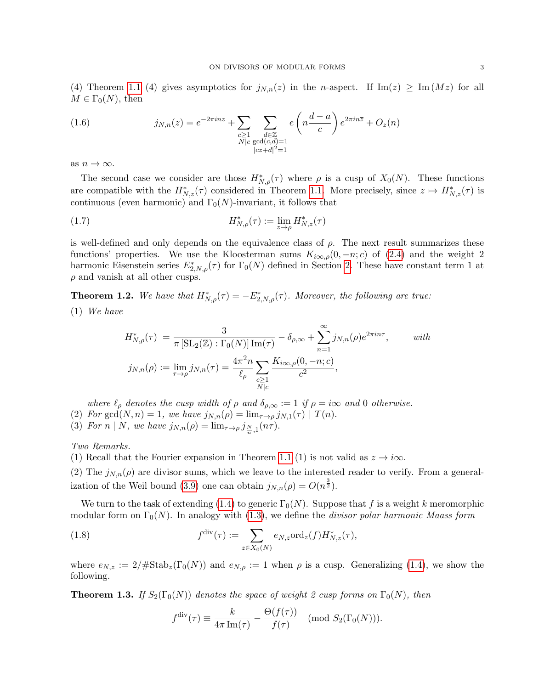(4) Theorem [1.1](#page-1-1) (4) gives asymptotics for  $j_{N,n}(z)$  in the n-aspect. If  $\text{Im}(z) \geq \text{Im}(Mz)$  for all  $M \in \Gamma_0(N)$ , then

<span id="page-2-2"></span>(1.6) 
$$
j_{N,n}(z) = e^{-2\pi inz} + \sum_{\substack{c \geq 1 \\ N \mid c}} \sum_{\substack{d \in \mathbb{Z} \\ \gcd(c,d)=1 \\ |cz+d|^2=1}} e\left(n\frac{d-a}{c}\right) e^{2\pi in\overline{z}} + O_z(n)
$$

as  $n \to \infty$ .

The second case we consider are those  $H^*_{N,\rho}(\tau)$  where  $\rho$  is a cusp of  $X_0(N)$ . These functions are compatible with the  $H^*_{N,z}(\tau)$  considered in Theorem [1.1.](#page-1-1) More precisely, since  $z \mapsto H^*_{N,z}(\tau)$  is continuous (even harmonic) and  $\Gamma_0(N)$ -invariant, it follows that

(1.7) 
$$
H_{N,\rho}^*(\tau) := \lim_{z \to \rho} H_{N,z}^*(\tau)
$$

is well-defined and only depends on the equivalence class of  $\rho$ . The next result summarizes these functions' properties. We use the Kloosterman sums  $K_{i\infty,\rho}(0,-n;c)$  of  $(2.4)$  and the weight 2 harmonic Eisenstein series  $E_{2,N,\rho}^*(\tau)$  for  $\Gamma_0(N)$  defined in Section [2.](#page-4-0) These have constant term 1 at  $\rho$  and vanish at all other cusps.

<span id="page-2-3"></span>**Theorem 1.2.** We have that  $H^*_{N,\rho}(\tau) = -E^*_{2,N,\rho}(\tau)$ . Moreover, the following are true: (1) We have

<span id="page-2-4"></span>
$$
H_{N,\rho}^*(\tau) = \frac{3}{\pi \left[ SL_2(\mathbb{Z}) : \Gamma_0(N) \right] \text{Im}(\tau)} - \delta_{\rho,\infty} + \sum_{n=1}^{\infty} j_{N,n}(\rho) e^{2\pi i n \tau}, \quad \text{with}
$$
  

$$
j_{N,n}(\rho) := \lim_{\tau \to \rho} j_{N,n}(\tau) = \frac{4\pi^2 n}{\ell_\rho} \sum_{\substack{c \ge 1 \\ N \mid c}} \frac{K_{i\infty,\rho}(0, -n; c)}{c^2},
$$

where  $\ell_{\rho}$  denotes the cusp width of  $\rho$  and  $\delta_{\rho,\infty} := 1$  if  $\rho = i\infty$  and 0 otherwise.

(2) For 
$$
gcd(N, n) = 1
$$
, we have  $j_{N,n}(\rho) = \lim_{\tau \to \rho} j_{N,1}(\tau) | T(n)$ .

(3) For  $n \mid N$ , we have  $j_{N,n}(\rho) = \lim_{\tau \to \rho} j_{\frac{N}{n},1}(n\tau)$ .

Two Remarks.

(1) Recall that the Fourier expansion in Theorem [1.1](#page-1-1) (1) is not valid as  $z \to i\infty$ .

(2) The  $j_{N,n}(\rho)$  are divisor sums, which we leave to the interested reader to verify. From a general-ization of the Weil bound [\(3.9\)](#page-7-0) one can obtain  $j_{N,n}(\rho) = O(n^{\frac{3}{2}})$ .

We turn to the task of extending [\(1.4\)](#page-1-3) to generic  $\Gamma_0(N)$ . Suppose that f is a weight k meromorphic modular form on  $\Gamma_0(N)$ . In analogy with [\(1.3\)](#page-1-4), we define the *divisor polar harmonic Maass form* 

(1.8) 
$$
f^{\text{div}}(\tau) := \sum_{z \in X_0(N)} e_{N,z} \text{ord}_z(f) H^*_{N,z}(\tau),
$$

where  $e_{N,z} := 2/\# \text{Stab}_z(\Gamma_0(N))$  and  $e_{N,\rho} := 1$  when  $\rho$  is a cusp. Generalizing [\(1.4\)](#page-1-3), we show the following.

<span id="page-2-0"></span>**Theorem 1.3.** If  $S_2(\Gamma_0(N))$  denotes the space of weight 2 cusp forms on  $\Gamma_0(N)$ , then

<span id="page-2-1"></span>
$$
f^{\text{div}}(\tau) \equiv \frac{k}{4\pi \operatorname{Im}(\tau)} - \frac{\Theta(f(\tau))}{f(\tau)} \pmod{S_2(\Gamma_0(N))}.
$$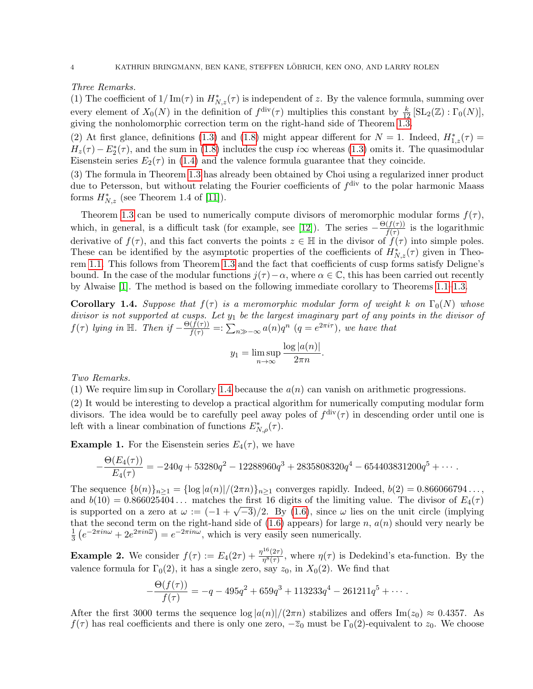## Three Remarks.

(1) The coefficient of  $1/\text{Im}(\tau)$  in  $H^*_{N,z}(\tau)$  is independent of z. By the valence formula, summing over every element of  $X_0(N)$  in the definition of  $f^{\text{div}}(\tau)$  multiplies this constant by  $\frac{k}{12} [\text{SL}_2(\mathbb{Z}) : \Gamma_0(N)],$ giving the nonholomorphic correction term on the right-hand side of Theorem [1.3.](#page-2-0)

(2) At first glance, definitions [\(1.3\)](#page-1-4) and [\(1.8\)](#page-2-1) might appear different for  $N = 1$ . Indeed,  $H_{1,z}^*(\tau) =$  $H_z(\tau) - E_2^*(\tau)$ , and the sum in [\(1](#page-2-1).8) includes the cusp i $\infty$  whereas (1.[3\)](#page-1-4) omits it. The quasimodular Eisenstein series  $E_2(\tau)$  in [\(1.4\)](#page-1-3) and the valence formula guarantee that they coincide.

(3) The formula in Theorem [1.3](#page-2-0) has already been obtained by Choi using a regularized inner product due to Petersson, but without relating the Fourier coefficients of  $f<sup>div</sup>$  to the polar harmonic Maass forms  $H^*_{N,z}$  (see Theorem 1.4 of [\[11\]](#page-9-12)).

Theorem [1.3](#page-2-0) can be used to numerically compute divisors of meromorphic modular forms  $f(\tau)$ , which, in general, is a difficult task (for example, see [\[12\]](#page-9-13)). The series  $-\frac{\Theta(f(\tau))}{f(\tau)}$  $\frac{(J(\tau))}{f(\tau)}$  is the logarithmic derivative of  $f(\tau)$ , and this fact converts the points  $z \in \mathbb{H}$  in the divisor of  $f(\tau)$  into simple poles. These can be identified by the asymptotic properties of the coefficients of  $H^*_{N,z}(\tau)$  given in Theorem [1.1.](#page-1-1) This follows from Theorem [1.3](#page-2-0) and the fact that coefficients of cusp forms satisfy Deligne's bound. In the case of the modular functions  $j(\tau) - \alpha$ , where  $\alpha \in \mathbb{C}$ , this has been carried out recently by Alwaise [\[1\]](#page-9-14). The method is based on the following immediate corollary to Theorems [1.1–](#page-1-1)[1.3.](#page-2-0)

<span id="page-3-0"></span>**Corollary 1.4.** Suppose that  $f(\tau)$  is a meromorphic modular form of weight k on  $\Gamma_0(N)$  whose divisor is not supported at cusps. Let  $y_1$  be the largest imaginary part of any points in the divisor of  $f(\tau)$  lying in  $\mathbb{H}$ . Then if  $-\frac{\Theta(f(\tau))}{f(\tau)} = \mathbb{E} \sum_{n \gg -\infty} a(n)q^n$   $(q = e^{2\pi i \tau})$ , we have that

$$
y_1 = \limsup_{n \to \infty} \frac{\log |a(n)|}{2\pi n}.
$$

Two Remarks.

(1) We require lim sup in Corollary [1.4](#page-3-0) because the  $a(n)$  can vanish on arithmetic progressions.

(2) It would be interesting to develop a practical algorithm for numerically computing modular form divisors. The idea would be to carefully peel away poles of  $f^{\text{div}}(\tau)$  in descending order until one is left with a linear combination of functions  $E_{N,\rho}^*(\tau)$ .

**Example 1.** For the Eisenstein series  $E_4(\tau)$ , we have

$$
-\frac{\Theta(E_4(\tau))}{E_4(\tau)} = -240q + 53280q^2 - 12288960q^3 + 2835808320q^4 - 654403831200q^5 + \cdots
$$

The sequence  $\{b(n)\}_{n\geq 1} = \{\log |a(n)|/(2\pi n)\}_{n\geq 1}$  converges rapidly. Indeed,  $b(2) = 0.866066794...,$ and  $b(10) = 0.866025404...$  matches the first 16 digits of the limiting value. The divisor of  $E_4(\tau)$ and  $\vartheta(10) = 0.800025404...$  matches the first 16 digits of the limiting value. The divisor of  $E_4(\tau)$  is supported on a zero at  $\omega := (-1 + \sqrt{-3})/2$ . By [\(1.6\)](#page-2-2), since  $\omega$  lies on the unit circle (implying that the second term on the right-hand side of  $(1.6)$  appears) for large n,  $a(n)$  should very nearly be 1  $\frac{1}{3}(e^{-2\pi i n\omega} + 2e^{2\pi i n\omega}) = e^{-2\pi i n\omega}$ , which is very easily seen numerically.

**Example 2.** We consider  $f(\tau) := E_4(2\tau) + \frac{\eta^{16}(2\tau)}{\eta^{8}(\tau)}$  $\frac{\eta^{\infty}(2\tau)}{\eta^8(\tau)}$ , where  $\eta(\tau)$  is Dedekind's eta-function. By the valence formula for  $\Gamma_0(2)$ , it has a single zero, say  $z_0$ , in  $X_0(2)$ . We find that

$$
-\frac{\Theta(f(\tau))}{f(\tau)} = -q - 495q^2 + 659q^3 + 113233q^4 - 261211q^5 + \cdots
$$

After the first 3000 terms the sequence  $\log |a(n)|/(2\pi n)$  stabilizes and offers Im( $z_0$ )  $\approx 0.4357$ . As  $f(\tau)$  has real coefficients and there is only one zero,  $-\overline{z}_0$  must be  $\Gamma_0(2)$ -equivalent to  $z_0$ . We choose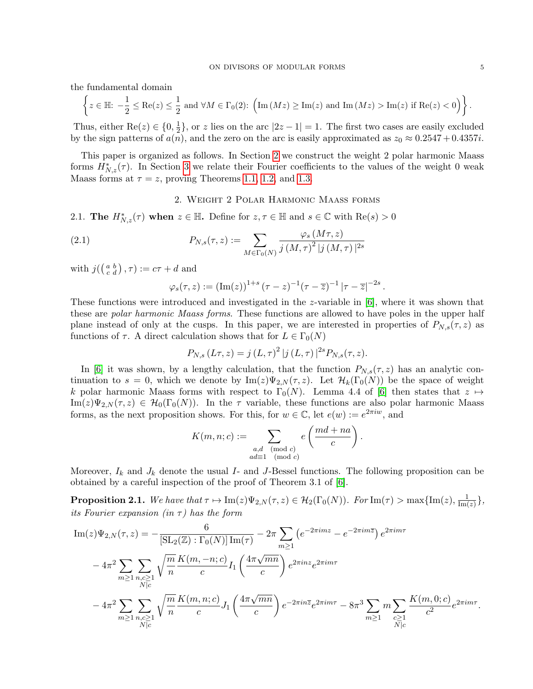the fundamental domain

$$
\left\{z\in\mathbb{H}\colon -\frac{1}{2}\leq \mathrm{Re}(z)\leq \frac{1}{2} \text{ and } \forall M\in\Gamma_0(2)\colon \Big(\mathrm{Im}\,(Mz)\geq \mathrm{Im}(z) \text{ and } \mathrm{Im}\,(Mz)>\mathrm{Im}(z) \text{ if } \mathrm{Re}(z)<0\Big) \right\}.
$$

Thus, either  $\text{Re}(z) \in \{0, \frac{1}{2}\}$  $\frac{1}{2}$ , or z lies on the arc  $|2z - 1| = 1$ . The first two cases are easily excluded by the sign patterns of  $a(n)$ , and the zero on the arc is easily approximated as  $z_0 \approx 0.2547 + 0.4357i$ .

This paper is organized as follows. In Section [2](#page-4-0) we construct the weight 2 polar harmonic Maass forms  $H_{N,z}^*(\tau)$ . In Section [3](#page-5-0) we relate their Fourier coefficients to the values of the weight 0 weak Maass forms at  $\tau = z$ , proving Theorems [1.1,](#page-1-1) [1.2,](#page-2-3) and [1.3.](#page-2-0)

## 2. Weight 2 Polar Harmonic Maass forms

<span id="page-4-0"></span>2.1. The  $H^*_{N,z}(\tau)$  when  $z \in \mathbb{H}$ . Define for  $z, \tau \in \mathbb{H}$  and  $s \in \mathbb{C}$  with  $\text{Re}(s) > 0$ 

(2.1) 
$$
P_{N,s}(\tau,z) := \sum_{M \in \Gamma_0(N)} \frac{\varphi_s(M\tau,z)}{j(M,\tau)^2 |j(M,\tau)|^{2s}}
$$

with  $j(\left(\begin{smallmatrix} a & b \ c & d \end{smallmatrix}\right), \tau) := c\tau + d$  and

$$
\varphi_s(\tau, z) := (\text{Im}(z))^{1+s} (\tau - z)^{-1} (\tau - \overline{z})^{-1} |\tau - \overline{z}|^{-2s}
$$

.

These functions were introduced and investigated in the z-variable in [\[6\]](#page-9-15), where it was shown that these are *polar harmonic Maass forms*. These functions are allowed to have poles in the upper half plane instead of only at the cusps. In this paper, we are interested in properties of  $P_{N,s}(\tau,z)$  as functions of  $\tau$ . A direct calculation shows that for  $L \in \Gamma_0(N)$ 

$$
P_{N,s}(L\tau,z) = j (L,\tau)^{2} |j (L,\tau)|^{2s} P_{N,s}(\tau,z).
$$

In [\[6\]](#page-9-15) it was shown, by a lengthy calculation, that the function  $P_{N,s}(\tau,z)$  has an analytic continuation to  $s = 0$ , which we denote by  $\text{Im}(z)\Psi_{2,N}(\tau,z)$ . Let  $\mathcal{H}_k(\Gamma_0(N))$  be the space of weight k polar harmonic Maass forms with respect to  $\Gamma_0(N)$ . Lemma 4.4 of [\[6\]](#page-9-15) then states that  $z \mapsto$  $\text{Im}(z)\Psi_{2,N}(\tau,z) \in \mathcal{H}_0(\Gamma_0(N)).$  In the  $\tau$  variable, these functions are also polar harmonic Maass forms, as the next proposition shows. For this, for  $w \in \mathbb{C}$ , let  $e(w) := e^{2\pi i w}$ , and

$$
K(m, n; c) := \sum_{\substack{a, d \pmod{c} \\ ad \equiv 1 \pmod{c}}} e\left(\frac{md + na}{c}\right).
$$

Moreover,  $I_k$  and  $J_k$  denote the usual I- and J-Bessel functions. The following proposition can be obtained by a careful inspection of the proof of Theorem 3.1 of [\[6\]](#page-9-15).

<span id="page-4-1"></span>**Proposition 2.1.** We have that  $\tau \mapsto \text{Im}(z)\Psi_{2,N}(\tau,z) \in \mathcal{H}_2(\Gamma_0(N))$ . For  $\text{Im}(\tau) > \text{max}\{\text{Im}(z), \frac{1}{\text{Im}(z)}\}$  $\frac{1}{\text{Im}(z)}\},$ its Fourier expansion (in  $\tau$ ) has the form

$$
\begin{split} \text{Im}(z)\Psi_{2,N}(\tau,z) &= -\frac{6}{\left[\text{SL}_{2}(\mathbb{Z}) : \Gamma_{0}(N)\right]\text{Im}(\tau)} - 2\pi \sum_{m\geq 1} \left(e^{-2\pi i m z} - e^{-2\pi i m \overline{z}}\right)e^{2\pi i m \tau} \\ &- 4\pi^{2} \sum_{m\geq 1} \sum_{n,c\geq 1} \sqrt{\frac{m}{n}} \frac{K(m,-n;c)}{c} I_{1}\left(\frac{4\pi \sqrt{mn}}{c}\right)e^{2\pi i n z} e^{2\pi i m \tau} \\ &- 4\pi^{2} \sum_{m\geq 1} \sum_{n,c\geq 1} \sqrt{\frac{m}{n}} \frac{K(m,n;c)}{c} J_{1}\left(\frac{4\pi \sqrt{mn}}{c}\right)e^{-2\pi i n \overline{z}} e^{2\pi i m \tau} - 8\pi^{3} \sum_{m\geq 1} m \sum_{\substack{c\geq 1\\N \mid c}} \frac{K(m,0;c)}{c^{2}} e^{2\pi i m \tau} .\end{split}
$$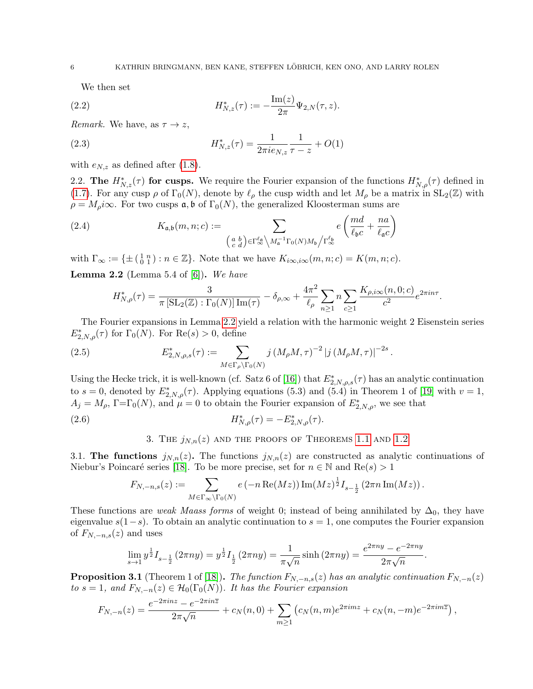<span id="page-5-5"></span>We then set

(2.2) 
$$
H_{N,z}^*(\tau) := -\frac{\operatorname{Im}(z)}{2\pi} \Psi_{2,N}(\tau,z).
$$

*Remark.* We have, as  $\tau \to z$ ,

(2.3) 
$$
H_{N,z}^*(\tau) = \frac{1}{2\pi i e_{N,z}} \frac{1}{\tau - z} + O(1)
$$

with  $e_{N,z}$  as defined after [\(1.8\)](#page-2-1).

2.2. The  $H^*_{N,z}(\tau)$  for cusps. We require the Fourier expansion of the functions  $H^*_{N,\rho}(\tau)$  defined in [\(1.7\)](#page-2-4). For any cusp  $\rho$  of  $\Gamma_0(N)$ , denote by  $\ell_\rho$  the cusp width and let  $M_\rho$  be a matrix in  $SL_2(\mathbb{Z})$  with  $\rho = M_{\rho} i\infty$ . For two cusps  $\mathfrak{a}, \mathfrak{b}$  of  $\Gamma_0(N)$ , the generalized Kloosterman sums are

(2.4) 
$$
K_{\mathfrak{a},\mathfrak{b}}(m,n;c) := \sum_{\left(\begin{smallmatrix} a & b \\ c & d \end{smallmatrix}\right) \in \Gamma_{\infty}^{\ell_{\mathfrak{a}}}} \sum_{M_{\mathfrak{a}}^{-1} \Gamma_{0}(N)M_{\mathfrak{b}}/ \Gamma_{\infty}^{\ell_{\mathfrak{b}}}} e\left(\frac{md}{\ell_{\mathfrak{b}}c} + \frac{na}{\ell_{\mathfrak{a}}c}\right)
$$

with  $\Gamma_{\infty} := \{ \pm \left( \begin{smallmatrix} 1 & n \\ 0 & 1 \end{smallmatrix} \right) : n \in \mathbb{Z} \}.$  Note that we have  $K_{i\infty,i\infty}(m,n;c) = K(m,n;c)$ .

<span id="page-5-2"></span>**Lemma 2.2** (Lemma 5.4 of  $[6]$ ). We have

<span id="page-5-1"></span>
$$
H_{N,\rho}^*(\tau) = \frac{3}{\pi \left[ SL_2(\mathbb{Z}) : \Gamma_0(N) \right] \mathrm{Im}(\tau)} - \delta_{\rho,\infty} + \frac{4\pi^2}{\ell_\rho} \sum_{n \geq 1} n \sum_{c \geq 1} \frac{K_{\rho,i\infty}(n,0;c)}{c^2} e^{2\pi i n \tau}.
$$

The Fourier expansions in Lemma [2.2](#page-5-2) yield a relation with the harmonic weight 2 Eisenstein series  $E^*_{2,N,\rho}(\tau)$  for  $\Gamma_0(N)$ . For  $\text{Re}(s) > 0$ , define

(2.5) 
$$
E_{2,N,\rho,s}^*(\tau) := \sum_{M \in \Gamma_\rho \backslash \Gamma_0(N)} j \left( M_\rho M, \tau \right)^{-2} |j \left( M_\rho M, \tau \right)|^{-2s}.
$$

Using the Hecke trick, it is well-known (cf. Satz 6 of [\[16\]](#page-9-16)) that  $E_{2,N,\rho,s}^*(\tau)$  has an analytic continuation to  $s = 0$ , denoted by  $E_{2,N,\rho}^*(\tau)$ . Applying equations (5.3) and (5.4) in Theorem 1 of [\[19\]](#page-9-17) with  $v = 1$ ,  $A_j = M_\rho$ ,  $\Gamma = \Gamma_0(N)$ , and  $\mu = 0$  to obtain the Fourier expansion of  $E^*_{2,N,\rho}$ , we see that

(2.6) 
$$
H_{N,\rho}^*(\tau) = -E_{2,N,\rho}^*(\tau).
$$

<span id="page-5-4"></span>3. THE  $j_{N,n}(z)$  and the proofs of Theorems [1.1](#page-1-1) and [1.2](#page-2-3)

<span id="page-5-0"></span>3.1. The functions  $j_{N,n}(z)$ . The functions  $j_{N,n}(z)$  are constructed as analytic continuations of Niebur's Poincaré series [\[18\]](#page-9-18). To be more precise, set for  $n \in \mathbb{N}$  and  $\text{Re}(s) > 1$ 

$$
F_{N,-n,s}(z) := \sum_{M \in \Gamma_{\infty} \backslash \Gamma_0(N)} e(-n \operatorname{Re}(Mz)) \operatorname{Im}(Mz)^{\frac{1}{2}} I_{s-\frac{1}{2}}(2\pi n \operatorname{Im}(Mz)).
$$

These functions are *weak Maass forms* of weight 0; instead of being annihilated by  $\Delta_0$ , they have eigenvalue  $s(1-s)$ . To obtain an analytic continuation to  $s = 1$ , one computes the Fourier expansion of  $F_{N,-n,s}(z)$  and uses

$$
\lim_{s \to 1} y^{\frac{1}{2}} I_{s - \frac{1}{2}} (2\pi ny) = y^{\frac{1}{2}} I_{\frac{1}{2}} (2\pi ny) = \frac{1}{\pi \sqrt{n}} \sinh(2\pi ny) = \frac{e^{2\pi ny} - e^{-2\pi ny}}{2\pi \sqrt{n}}
$$

.

<span id="page-5-3"></span>**Proposition 3.1** (Theorem 1 of [\[18\]](#page-9-18)). The function  $F_{N,-n,s}(z)$  has an analytic continuation  $F_{N,-n}(z)$ to  $s = 1$ , and  $F_{N,-n}(z) \in \mathcal{H}_0(\Gamma_0(N))$ . It has the Fourier expansion

$$
F_{N,-n}(z) = \frac{e^{-2\pi i n z} - e^{-2\pi i n \overline{z}}}{2\pi \sqrt{n}} + c_N(n,0) + \sum_{m \ge 1} \left( c_N(n,m) e^{2\pi i m z} + c_N(n,-m) e^{-2\pi i m \overline{z}} \right),
$$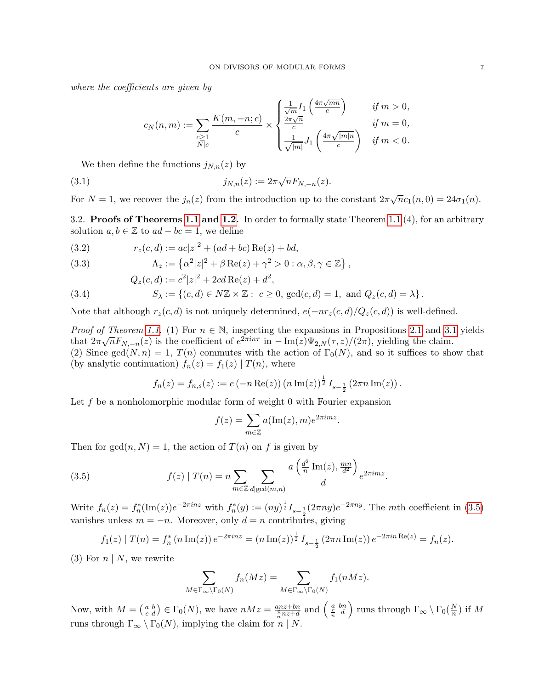where the coefficients are given by

$$
c_N(n,m):=\sum_{\substack{c\geq 1\\N\mid c}}\frac{K(m,-n;c)}{c}\times\begin{cases}\frac{1}{\sqrt{m}}I_1\left(\frac{4\pi\sqrt{mn}}{c}\right)&\text{ if }m>0,\\ \frac{2\pi\sqrt{n}}{c}&\text{ if }m=0,\\ \frac{1}{\sqrt{|m|}}J_1\left(\frac{4\pi\sqrt{|m|n}}{c}\right)&\text{ if }m<0.\end{cases}
$$

We then define the functions  $j_{N,n}(z)$  by

(3.1) 
$$
j_{N,n}(z) := 2\pi \sqrt{n} F_{N,-n}(z).
$$

For  $N = 1$ , we recover the  $j_n(z)$  from the introduction up to the constant  $2\pi\sqrt{n}c_1(n,0) = 24\sigma_1(n)$ .

3.2. Proofs of Theorems [1.1](#page-1-1) and [1.2.](#page-2-3) In order to formally state Theorem [1.1](#page-1-1) (4), for an arbitrary solution  $a, b \in \mathbb{Z}$  to  $ad - bc = 1$ , we define

<span id="page-6-0"></span>(3.2) 
$$
r_z(c,d) := ac|z|^2 + (ad + bc) \operatorname{Re}(z) + bd,
$$

<span id="page-6-1"></span>(3.3) 
$$
\Lambda_z := \left\{ \alpha^2 |z|^2 + \beta \operatorname{Re}(z) + \gamma^2 > 0 : \alpha, \beta, \gamma \in \mathbb{Z} \right\},
$$

$$
Q_z(c,d) := c^2 |z|^2 + 2cd \operatorname{Re}(z) + d^2,
$$

<span id="page-6-2"></span>(3.4) 
$$
S_{\lambda} := \{ (c, d) \in N\mathbb{Z} \times \mathbb{Z} : c \ge 0, \, \gcd(c, d) = 1, \text{ and } Q_z(c, d) = \lambda \}.
$$

Note that although  $r_z(c, d)$  is not uniquely determined,  $e(-nr_z(c, d)/Q_z(c, d))$  is well-defined.

*Proof of Theorem [1.1.](#page-1-1)* (1) For  $n \in \mathbb{N}$ , inspecting the expansions in Propositions [2.1](#page-4-1) and [3.1](#page-5-3) yields that  $2\pi\sqrt{n}F_{N,-n}(z)$  is the coefficient of  $e^{2\pi in\tau}$  in  $-\text{Im}(z)\Psi_{2,N}(\tau,z)/(2\pi)$ , yielding the claim. (2) Since gcd(N, n) = 1,  $T(n)$  commutes with the action of  $\Gamma_0(N)$ , and so it suffices to show that (by analytic continuation)  $f_n(z) = f_1(z) | T(n)$ , where

$$
f_n(z) = f_{n,s}(z) := e(-n \operatorname{Re}(z)) (n \operatorname{Im}(z))^{\frac{1}{2}} I_{s-\frac{1}{2}} (2\pi n \operatorname{Im}(z)).
$$

Let  $f$  be a nonholomorphic modular form of weight 0 with Fourier expansion

<span id="page-6-3"></span>
$$
f(z) = \sum_{m \in \mathbb{Z}} a(\text{Im}(z), m) e^{2\pi i m z}.
$$

Then for  $gcd(n, N) = 1$ , the action of  $T(n)$  on f is given by

(3.5) 
$$
f(z) | T(n) = n \sum_{m \in \mathbb{Z}} \sum_{d | \gcd(m,n)} \frac{a\left(\frac{d^2}{n} \operatorname{Im}(z), \frac{mn}{d^2}\right)}{d} e^{2\pi i m z}.
$$

Write  $f_n(z) = f_n^*(\text{Im}(z))e^{-2\pi i nz}$  with  $f_n^*(y) := (ny)^{\frac{1}{2}}I_{s-\frac{1}{2}}(2\pi ny)e^{-2\pi ny}$ . The mth coefficient in [\(3.5\)](#page-6-3) vanishes unless  $m = -n$ . Moreover, only  $d = n$  contributes, giving

$$
f_1(z) | T(n) = f_n^* (n \operatorname{Im}(z)) e^{-2\pi i n z} = (n \operatorname{Im}(z))^{\frac{1}{2}} I_{s-\frac{1}{2}} (2\pi n \operatorname{Im}(z)) e^{-2\pi i n \operatorname{Re}(z)} = f_n(z).
$$

(3) For  $n \mid N$ , we rewrite

$$
\sum_{M \in \Gamma_{\infty} \backslash \Gamma_0(N)} f_n(Mz) = \sum_{M \in \Gamma_{\infty} \backslash \Gamma_0(N)} f_1(nMz).
$$

Now, with  $M = \begin{pmatrix} a & b \\ c & d \end{pmatrix} \in \Gamma_0(N)$ , we have  $nMz = \frac{anz+bn}{\frac{c}{n}nz+d}$  and  $\begin{pmatrix} a & bn \\ \frac{c}{n} & d \end{pmatrix}$  runs through  $\Gamma_\infty \setminus \Gamma_0(\frac{N}{n})$  $\frac{N}{n}$ ) if  $M$ runs through  $\Gamma_{\infty} \setminus \Gamma_0(N)$ , implying the claim for  $n \mid N$ .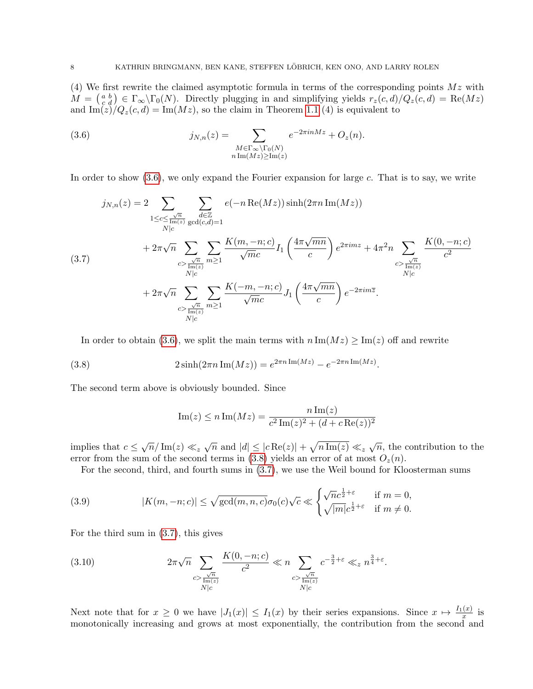(4) We first rewrite the claimed asymptotic formula in terms of the corresponding points  $Mz$  with  $M = \begin{pmatrix} a & b \\ c & d \end{pmatrix} \in \Gamma_{\infty} \backslash \Gamma_0(N)$ . Directly plugging in and simplifying yields  $r_z(c, d)/Q_z(c, d) = \text{Re}(Mz)$ and  $\text{Im}(z)/Q_z(c, d) = \text{Im}(Mz)$ , so the claim in Theorem [1.1](#page-1-1) (4) is equivalent to

<span id="page-7-1"></span>(3.6) 
$$
j_{N,n}(z) = \sum_{\substack{M \in \Gamma_{\infty} \backslash \Gamma_0(N) \\ n \operatorname{Im}(Mz) \ge \operatorname{Im}(z)}} e^{-2\pi i n M z} + O_z(n).
$$

In order to show  $(3.6)$ , we only expand the Fourier expansion for large c. That is to say, we write

<span id="page-7-3"></span>
$$
j_{N,n}(z) = 2 \sum_{\substack{1 \leq c \leq \frac{\sqrt{n}}{\text{Im}(z) \gcd(c,d)=1}} \sum_{\substack{d \in \mathbb{Z} \\ N|c}} e(-n \operatorname{Re}(Mz)) \sinh(2\pi n \operatorname{Im}(Mz))
$$
  

$$
+ 2\pi \sqrt{n} \sum_{\substack{c > \frac{\sqrt{n}}{\text{Im}(z) \gcd(c,d)=1}} \sum_{m \geq 1} \frac{K(m,-n;c)}{\sqrt{m}c} I_1\left(\frac{4\pi \sqrt{mn}}{c}\right) e^{2\pi i m z} + 4\pi^2 n \sum_{\substack{c > \frac{\sqrt{n}}{\text{Im}(z) \gcd(c)}} \frac{K(0,-n;c)}{\log(c)}}{c^2}
$$
  

$$
+ 2\pi \sqrt{n} \sum_{\substack{c > \frac{\sqrt{n}}{\text{Im}(z) \gcd(c)}} \sum_{m \geq 1} \frac{K(-m,-n;c)}{\sqrt{m}c} J_1\left(\frac{4\pi \sqrt{mn}}{c}\right) e^{-2\pi i m \overline{z}}.
$$

In order to obtain [\(3.6\)](#page-7-1), we split the main terms with  $n \text{Im}(Mz) \ge \text{Im}(z)$  off and rewrite

(3.8) 
$$
2\sinh(2\pi n \operatorname{Im}(Mz)) = e^{2\pi n \operatorname{Im}(Mz)} - e^{-2\pi n \operatorname{Im}(Mz)}.
$$

The second term above is obviously bounded. Since

<span id="page-7-2"></span>Im(z) 
$$
\leq n \operatorname{Im}(Mz) = \frac{n \operatorname{Im}(z)}{c^2 \operatorname{Im}(z)^2 + (d + c \operatorname{Re}(z))^2}
$$

implies that  $c \leq \sqrt{n}/\text{Im}(z) \ll_z \sqrt{n}$  and  $|d| \leq |c \text{Re}(z)| + \sqrt{n \text{Im}(z)} \ll_z \sqrt{n}$ , the contribution to the error from the sum of the second terms in [\(3.8\)](#page-7-2) yields an error of at most  $O_z(n)$ .

<span id="page-7-0"></span>For the second, third, and fourth sums in [\(3.7\)](#page-7-3), we use the Weil bound for Kloosterman sums

(3.9) 
$$
|K(m, -n; c)| \leq \sqrt{\gcd(m, n, c)} \sigma_0(c) \sqrt{c} \ll \begin{cases} \sqrt{n}c^{\frac{1}{2} + \varepsilon} & \text{if } m = 0, \\ \sqrt{|m|}c^{\frac{1}{2} + \varepsilon} & \text{if } m \neq 0. \end{cases}
$$

For the third sum in [\(3.7\)](#page-7-3), this gives

<span id="page-7-4"></span>(3.10) 
$$
2\pi\sqrt{n}\sum_{\substack{c > \frac{\sqrt{n}}{\text{Im}(z)}}} \frac{K(0, -n; c)}{c^2} \ll n \sum_{\substack{c > \frac{\sqrt{n}}{\text{Im}(z)}}} c^{-\frac{3}{2} + \varepsilon} \ll_{z} n^{\frac{3}{4} + \varepsilon}.
$$

Next note that for  $x \geq 0$  we have  $|J_1(x)| \leq I_1(x)$  by their series expansions. Since  $x \mapsto \frac{I_1(x)}{x}$  is monotonically increasing and grows at most exponentially, the contribution from the second and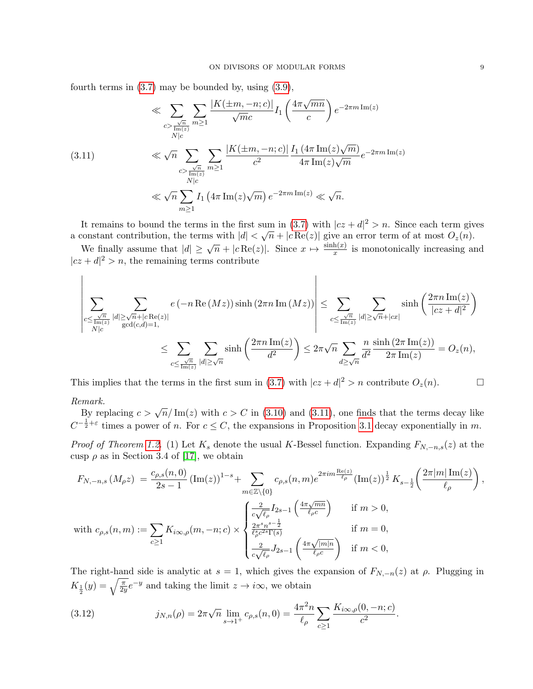fourth terms in  $(3.7)$  may be bounded by, using  $(3.9)$ ,

<span id="page-8-0"></span>
$$
\ll \sum_{\substack{c > \frac{\sqrt{n}}{\text{Im}(z)}}} \sum_{m \ge 1} \frac{|K(\pm m, -n; c)|}{\sqrt{m}c} I_1 \left(\frac{4\pi\sqrt{mn}}{c}\right) e^{-2\pi m \operatorname{Im}(z)}
$$
\n
$$
\ll \sqrt{n} \sum_{\substack{c > \frac{\sqrt{n}}{\text{Im}(z)}}} \sum_{m \ge 1} \frac{|K(\pm m, -n; c)|}{c^2} \frac{I_1(4\pi \operatorname{Im}(z)\sqrt{m})}{4\pi \operatorname{Im}(z)\sqrt{m}} e^{-2\pi m \operatorname{Im}(z)}
$$
\n
$$
\ll \sqrt{n} \sum_{m \ge 1} I_1(4\pi \operatorname{Im}(z)\sqrt{m}) e^{-2\pi m \operatorname{Im}(z)} \ll \sqrt{n}.
$$

It remains to bound the terms in the first sum in [\(3.7\)](#page-7-3) with  $|cz+d|^2 > n$ . Since each term gives It remains to bound the terms in the first sum in (5.7) with  $|cz + a| > n$ . Since each term give a constant contribution, the terms with  $|d| < \sqrt{n} + |c \operatorname{Re}(z)|$  give an error term of at most  $O_z(n)$ .

We finally assume that  $|d| \ge \sqrt{n} + |c \operatorname{Re}(z)|$ . Since  $x \mapsto \frac{\sinh(x)}{x}$  is monotonically increasing and  $|cz+d|^2 > n$ , the remaining terms contribute

$$
\left|\sum_{\substack{c \leq \frac{\sqrt{n}}{\operatorname{Im}(z)} \ |d| \geq \sqrt{n} + |c \operatorname{Re}(z)| \\ N|c}} e(-n \operatorname{Re}(Mz)) \sinh(2\pi n \operatorname{Im}(Mz)) \right| \leq \sum_{c \leq \frac{\sqrt{n}}{\operatorname{Im}(z)}} \sum_{|d| \geq \sqrt{n} + |c x|} \sinh\left(\frac{2\pi n \operatorname{Im}(z)}{|c z + d|^2}\right) \\ \leq \sum_{c \leq \frac{\sqrt{n}}{\operatorname{Im}(z)}} \sum_{|d| \geq \sqrt{n}} \sinh\left(\frac{2\pi n \operatorname{Im}(z)}{d^2}\right) \leq 2\pi \sqrt{n} \sum_{d \geq \sqrt{n}} \frac{n}{d^2} \frac{\sinh(2\pi \operatorname{Im}(z))}{2\pi \operatorname{Im}(z)} = O_z(n),
$$

This implies that the terms in the first sum in [\(3.7\)](#page-7-3) with  $|cz+d|^2 > n$  contribute  $O_z(n)$ . Remark.

 $B$ y replacing  $c > \sqrt{n}/\text{Im}(z)$  with  $c > C$  in [\(3.10\)](#page-7-4) and [\(3.11\)](#page-8-0), one finds that the terms decay like  $C^{-\frac{1}{2}+\varepsilon}$  times a power of n. For  $c \leq C$ , the expansions in Proposition [3.1](#page-5-3) decay exponentially in m.

*Proof of Theorem [1.2.](#page-2-3)* (1) Let  $K_s$  denote the usual K-Bessel function. Expanding  $F_{N,-n,s}(z)$  at the cusp  $\rho$  as in Section 3.4 of [\[17\]](#page-9-19), we obtain

$$
F_{N,-n,s}(M_{\rho}z) = \frac{c_{\rho,s}(n,0)}{2s-1} (\text{Im}(z))^{1-s} + \sum_{m \in \mathbb{Z} \setminus \{0\}} c_{\rho,s}(n,m) e^{2\pi i m \frac{\text{Re}(z)}{\ell_{\rho}}} (\text{Im}(z))^{1 \over 2} K_{s-\frac{1}{2}} \left( \frac{2\pi |m| \text{Im}(z)}{\ell_{\rho}} \right),
$$
  
with  $c_{\rho,s}(n,m) := \sum_{c \ge 1} K_{i\infty,\rho}(m,-n;c) \times \begin{cases} \frac{2}{c\sqrt{\ell_{\rho}}} I_{2s-1} \left( \frac{4\pi \sqrt{mn}}{\ell_{\rho}c} \right) & \text{if } m > 0, \\ \frac{2\pi^{s} n^{s-\frac{1}{2}}}{\ell_{\rho}c^{2s} \Gamma(s)} & \text{if } m = 0, \\ \frac{2}{c\sqrt{\ell_{\rho}}} J_{2s-1} \left( \frac{4\pi \sqrt{|m|n}}{\ell_{\rho}c} \right) & \text{if } m < 0, \end{cases}$ 

The right-hand side is analytic at  $s = 1$ , which gives the expansion of  $F_{N,-n}(z)$  at  $\rho$ . Plugging in  $K_{\frac{1}{2}}(y) = \sqrt{\frac{\pi}{2y}}e^{-y}$  and taking the limit  $z \to i\infty$ , we obtain

<span id="page-8-1"></span>(3.12) 
$$
j_{N,n}(\rho) = 2\pi \sqrt{n} \lim_{s \to 1^+} c_{\rho,s}(n,0) = \frac{4\pi^2 n}{\ell_\rho} \sum_{c \ge 1} \frac{K_{i\infty,\rho}(0,-n;c)}{c^2}.
$$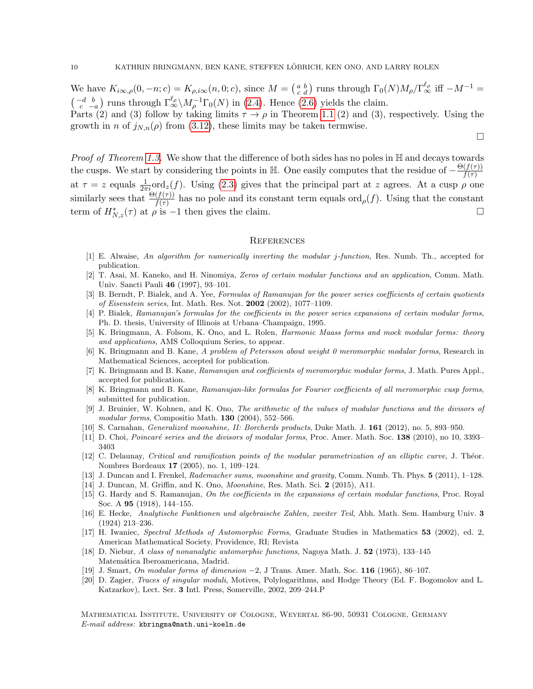We have  $K_{i\infty,\rho}(0,-n;c) = K_{\rho,i\infty}(n,0;c)$ , since  $M = \begin{pmatrix} a & b \\ c & d \end{pmatrix}$  runs through  $\Gamma_0(N)M_\rho/\Gamma_\infty^{\ell_\rho}$  iff  $-M^{-1} =$  $\left(\begin{array}{cc} -d & b \\ c & -a \end{array}\right)$  runs through  $\Gamma^{\ell\rho}_{\infty} \backslash M_{\rho}^{-1} \Gamma_0(N)$  in [\(2.4\)](#page-5-1). Hence [\(2.6\)](#page-5-4) yields the claim.

Parts (2) and (3) follow by taking limits  $\tau \to \rho$  in Theorem [1.1](#page-1-1) (2) and (3), respectively. Using the growth in n of  $j_{N,n}(\rho)$  from [\(3.12\)](#page-8-1), these limits may be taken termwise.

 $\Box$ 

*Proof of Theorem [1.3.](#page-2-0)* We show that the difference of both sides has no poles in  $\mathbb{H}$  and decays towards the cusps. We start by considering the points in H. One easily computes that the residue of  $-\frac{\Theta(f(\tau))}{f(\tau)}$  $f(\tau)$ at  $\tau = z$  equals  $\frac{1}{2\pi i}$  ord<sub>z</sub>(f). Using [\(2.3\)](#page-5-5) gives that the principal part at z agrees. At a cusp  $\rho$  one similarly sees that  $\frac{\Theta(f(\tau))}{f(\tau)}$  has no pole and its constant term equals ord<sub> $\rho$ </sub> $(f)$ . Using that the constant term of  $H_{N,z}^*(\tau)$  at  $\rho$  is  $-1$  then gives the claim.

#### **REFERENCES**

- <span id="page-9-14"></span>[1] E. Alwaise, An algorithm for numerically inverting the modular j-function, Res. Numb. Th., accepted for publication.
- <span id="page-9-1"></span>[2] T. Asai, M. Kaneko, and H. Ninomiya, Zeros of certain modular functions and an application, Comm. Math. Univ. Sancti Pauli 46 (1997), 93–101.
- <span id="page-9-8"></span>[3] B. Berndt, P. Bialek, and A. Yee, Formulas of Ramanujan for the power series coefficients of certain quotients of Eisenstein series, Int. Math. Res. Not. 2002 (2002), 1077–1109.
- <span id="page-9-9"></span>[4] P. Bialek, Ramanujan's formulas for the coefficients in the power series expansions of certain modular forms, Ph. D. thesis, University of Illinois at Urbana–Champaign, 1995.
- <span id="page-9-6"></span>[5] K. Bringmann, A. Folsom, K. Ono, and L. Rolen, Harmonic Maass forms and mock modular forms: theory and applications, AMS Colloquium Series, to appear.
- <span id="page-9-15"></span>[6] K. Bringmann and B. Kane, A problem of Petersson about weight 0 meromorphic modular forms, Research in Mathematical Sciences, accepted for publication.
- <span id="page-9-10"></span>[7] K. Bringmann and B. Kane, Ramanujan and coefficients of meromorphic modular forms, J. Math. Pures Appl., accepted for publication.
- <span id="page-9-11"></span>[8] K. Bringmann and B. Kane, Ramanujan-like formulas for Fourier coefficients of all meromorphic cusp forms, submitted for publication.
- <span id="page-9-5"></span>[9] J. Bruinier, W. Kohnen, and K. Ono, The arithmetic of the values of modular functions and the divisors of modular forms, Compositio Math. **130** (2004), 552–566.
- <span id="page-9-4"></span>[10] S. Carnahan, Generalized moonshine, II: Borcherds products, Duke Math. J. 161 (2012), no. 5, 893–950.
- <span id="page-9-12"></span>[11] D. Choi, *Poincaré series and the divisors of modular forms*, Proc. Amer. Math. Soc. 138 (2010), no 10, 3393– 3403
- <span id="page-9-13"></span>[12] C. Delaunay, Critical and ramification points of the modular parametrization of an elliptic curve, J. Théor. Nombres Bordeaux 17 (2005), no. 1, 109–124.
- <span id="page-9-3"></span>[13] J. Duncan and I. Frenkel, Rademacher sums, moonshine and gravity, Comm. Numb. Th. Phys. 5 (2011), 1–128.
- <span id="page-9-0"></span>[14] J. Duncan, M. Griffin, and K. Ono, Moonshine, Res. Math. Sci. 2 (2015), A11.
- <span id="page-9-7"></span>[15] G. Hardy and S. Ramanujan, On the coefficients in the expansions of certain modular functions, Proc. Royal Soc. A 95 (1918), 144–155.
- <span id="page-9-16"></span>[16] E. Hecke, Analytische Funktionen und algebraische Zahlen, zweiter Teil, Abh. Math. Sem. Hamburg Univ. 3 (1924) 213–236.
- <span id="page-9-19"></span>[17] H. Iwaniec, Spectral Methods of Automorphic Forms, Graduate Studies in Mathematics 53 (2002), ed. 2, American Mathematical Society, Providence, RI; Revista
- <span id="page-9-18"></span>[18] D. Niebur, A class of nonanalytic automorphic functions, Nagoya Math. J. 52 (1973), 133–145 Matemática Iberoamericana, Madrid.
- <span id="page-9-17"></span>[19] J. Smart, On modular forms of dimension −2, J Trans. Amer. Math. Soc. 116 (1965), 86–107.
- <span id="page-9-2"></span>[20] D. Zagier, Traces of singular moduli, Motives, Polylogarithms, and Hodge Theory (Ed. F. Bogomolov and L. Katzarkov), Lect. Ser. 3 Intl. Press, Somerville, 2002, 209–244.P

Mathematical Institute, University of Cologne, Weyertal 86-90, 50931 Cologne, Germany E-mail address: kbringma@math.uni-koeln.de